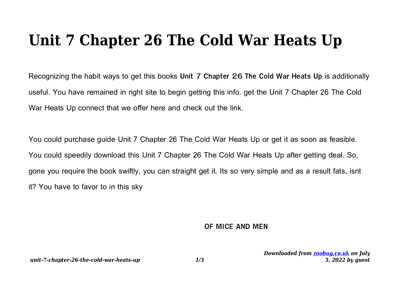# **Unit 7 Chapter 26 The Cold War Heats Up**

Recognizing the habit ways to get this books **Unit 7 Chapter 26 The Cold War Heats Up** is additionally useful. You have remained in right site to begin getting this info. get the Unit 7 Chapter 26 The Cold War Heats Up connect that we offer here and check out the link.

You could purchase guide Unit 7 Chapter 26 The Cold War Heats Up or get it as soon as feasible. You could speedily download this Unit 7 Chapter 26 The Cold War Heats Up after getting deal. So, gone you require the book swiftly, you can straight get it. Its so very simple and as a result fats, isnt it? You have to favor to in this sky

#### **OF MICE AND MEN**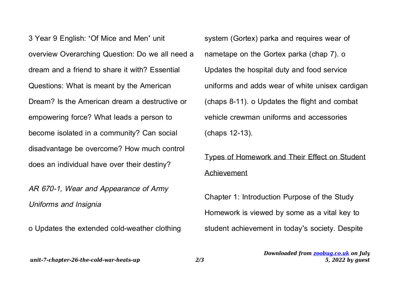3 Year 9 English: 'Of Mice and Men' unit overview Overarching Question: Do we all need a dream and a friend to share it with? Essential Questions: What is meant by the American Dream? Is the American dream a destructive or empowering force? What leads a person to become isolated in a community? Can social disadvantage be overcome? How much control does an individual have over their destiny?

AR 670-1, Wear and Appearance of Army Uniforms and Insignia

o Updates the extended cold-weather clothing

system (Gortex) parka and requires wear of nametape on the Gortex parka (chap 7). o Updates the hospital duty and food service uniforms and adds wear of white unisex cardigan (chaps 8-11). o Updates the flight and combat vehicle crewman uniforms and accessories (chaps 12-13).

## Types of Homework and Their Effect on Student Achievement

Chapter 1: Introduction Purpose of the Study Homework is viewed by some as a vital key to student achievement in today's society. Despite